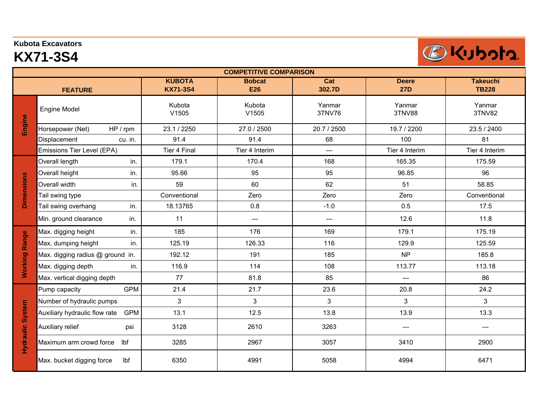## **Kubota Excavators**

## **KX71-3S4**



**BKubota**